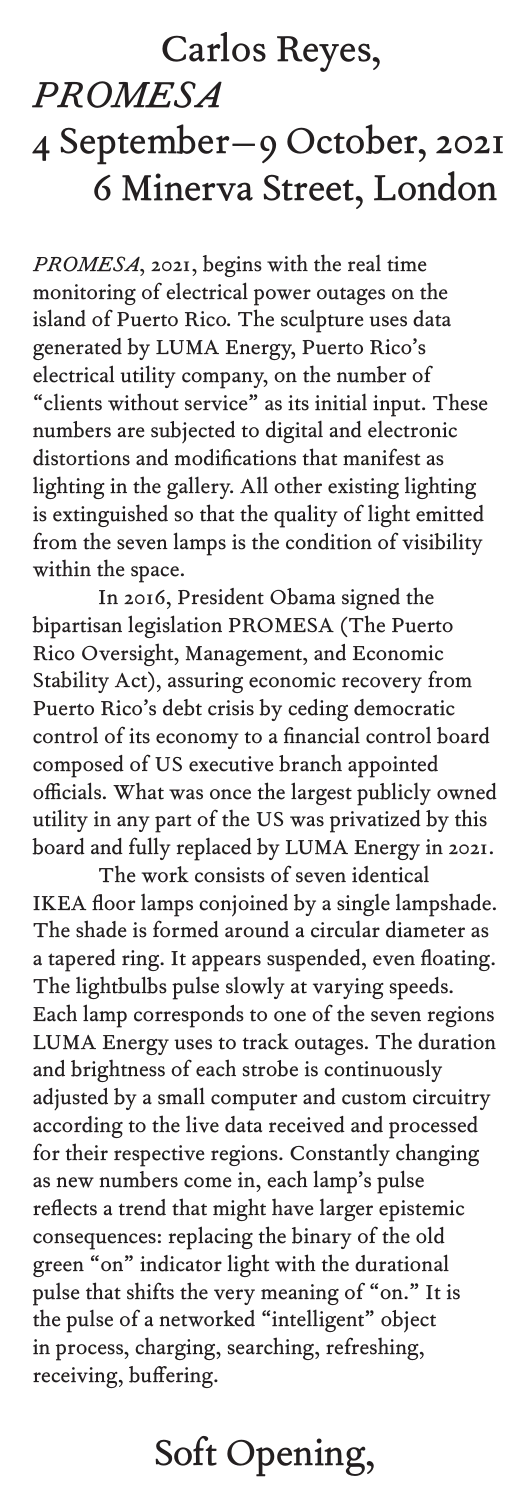### Carlos Reyes,

*PROMESA*

# 4 September–9 October, 2021 6 Minerva Street, London

*PROMESA*, 2021, begins with the real time monitoring of electrical power outages on the island of Puerto Rico. The sculpture uses data generated by LUMA Energy, Puerto Rico's electrical utility company, on the number of "clients without service" as its initial input. These numbers are subjected to digital and electronic distortions and modifications that manifest as lighting in the gallery. All other existing lighting is extinguished so that the quality of light emitted from the seven lamps is the condition of visibility within the space.

 In 2016, President Obama signed the bipartisan legislation PROMESA (The Puerto Rico Oversight, Management, and Economic Stability Act), assuring economic recovery from Puerto Rico's debt crisis by ceding democratic control of its economy to a financial control board composed of US executive branch appointed officials. What was once the largest publicly owned utility in any part of the US was privatized by this board and fully replaced by LUMA Energy in 2021.

 The work consists of seven identical IKEA floor lamps conjoined by a single lampshade. The shade is formed around a circular diameter as a tapered ring. It appears suspended, even floating. The lightbulbs pulse slowly at varying speeds. Each lamp corresponds to one of the seven regions LUMA Energy uses to track outages. The duration and brightness of each strobe is continuously adjusted by a small computer and custom circuitry according to the live data received and processed for their respective regions. Constantly changing as new numbers come in, each lamp's pulse reflects a trend that might have larger epistemic consequences: replacing the binary of the old green "on" indicator light with the durational pulse that shifts the very meaning of "on." It is the pulse of a networked "intelligent" object in process, charging, searching, refreshing, receiving, buffering.

## Soft Opening,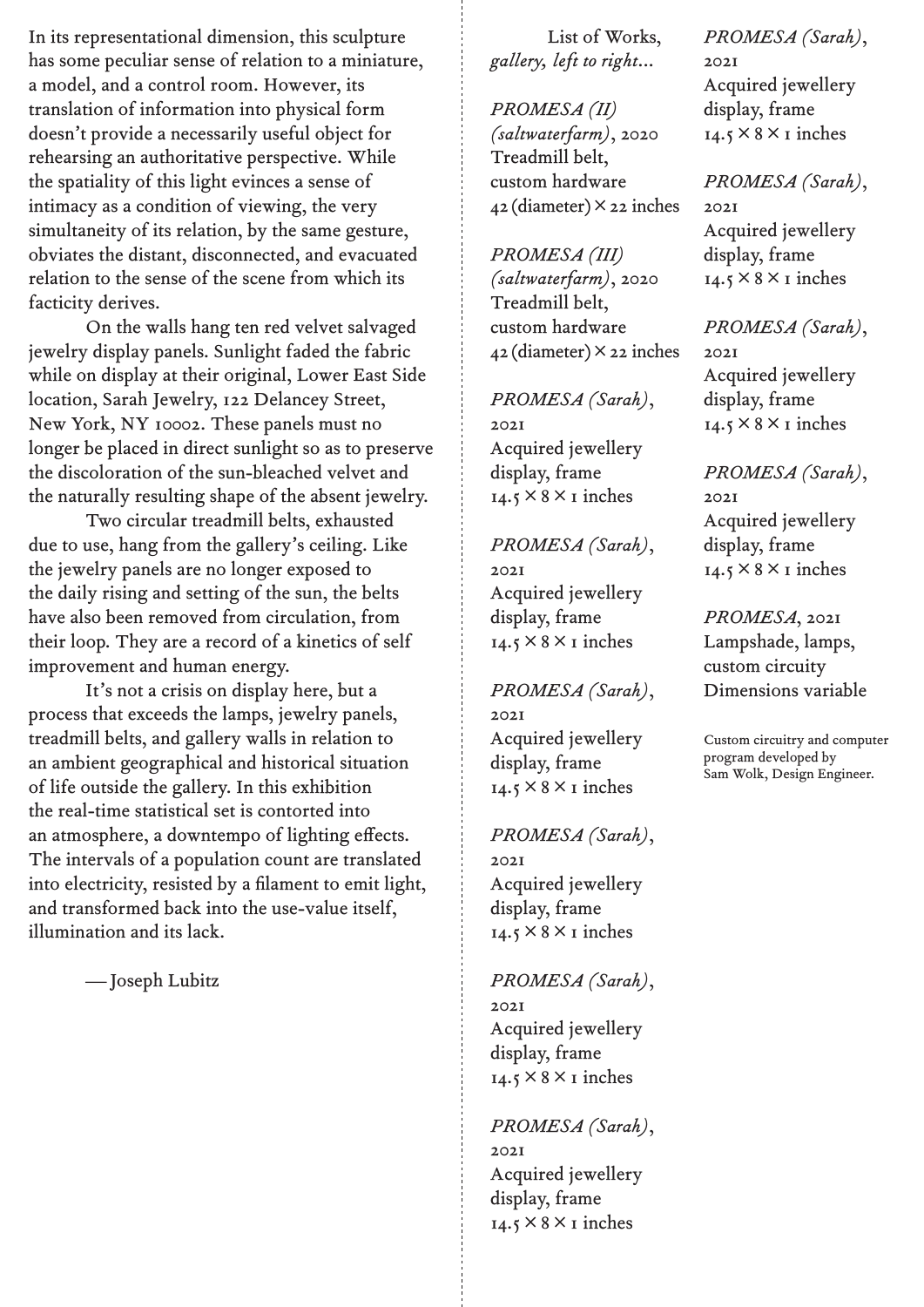In its representational dimension, this sculpture has some peculiar sense of relation to a miniature, a model, and a control room. However, its translation of information into physical form doesn't provide a necessarily useful object for rehearsing an authoritative perspective. While the spatiality of this light evinces a sense of intimacy as a condition of viewing, the very simultaneity of its relation, by the same gesture, obviates the distant, disconnected, and evacuated relation to the sense of the scene from which its facticity derives.

 On the walls hang ten red velvet salvaged jewelry display panels. Sunlight faded the fabric while on display at their original, Lower East Side location, Sarah Jewelry, 122 Delancey Street, New York, NY 10002. These panels must no longer be placed in direct sunlight so as to preserve the discoloration of the sun-bleached velvet and the naturally resulting shape of the absent jewelry.

 Two circular treadmill belts, exhausted due to use, hang from the gallery's ceiling. Like the jewelry panels are no longer exposed to the daily rising and setting of the sun, the belts have also been removed from circulation, from their loop. They are a record of a kinetics of self improvement and human energy.

 It's not a crisis on display here, but a process that exceeds the lamps, jewelry panels, treadmill belts, and gallery walls in relation to an ambient geographical and historical situation of life outside the gallery. In this exhibition the real-time statistical set is contorted into an atmosphere, a downtempo of lighting effects. The intervals of a population count are translated into electricity, resisted by a filament to emit light, and transformed back into the use-value itself, illumination and its lack.

—Joseph Lubitz

 List of Works, *gallery, left to right*...

*PROMESA (II) (saltwaterfarm)*, 2020 Treadmill belt, custom hardware 42 (diameter)×22 inches

*PROMESA (III) (saltwaterfarm)*, 2020 Treadmill belt, custom hardware  $42$  (diameter)  $\times$  22 inches

*PROMESA (Sarah)*, 2021 Acquired jewellery display, frame  $14.5 \times 8 \times I$  inches

#### *PROMESA (Sarah)*,

2021 Acquired jewellery display, frame  $14.5 \times 8 \times I$  inches

*PROMESA (Sarah)*, 2021 Acquired jewellery display, frame  $14.5 \times 8 \times I$  inches

#### *PROMESA (Sarah)*,

2021 Acquired jewellery display, frame  $14.5 \times 8 \times I$  inches

*PROMESA (Sarah)*, 2021 Acquired jewellery display, frame  $14.5 \times 8 \times I$  inches

*PROMESA (Sarah)*, 2021 Acquired jewellery display, frame  $14.5 \times 8 \times I$  inches

*PROMESA (Sarah)*, 2021 Acquired jewellery display, frame  $14.5 \times 8 \times I$  inches

#### *PROMESA (Sarah)*,

2021 Acquired jewellery display, frame  $14.5 \times 8 \times I$  inches

#### *PROMESA (Sarah)*,

2021 Acquired jewellery display, frame  $14.5 \times 8 \times I$  inches

#### *PROMESA (Sarah)*, 2021

Acquired jewellery display, frame  $14.5 \times 8 \times I$  inches

### *PROMESA*, 2021

Lampshade, lamps, custom circuity Dimensions variable

Custom circuitry and computer program developed by Sam Wolk, Design Engineer.